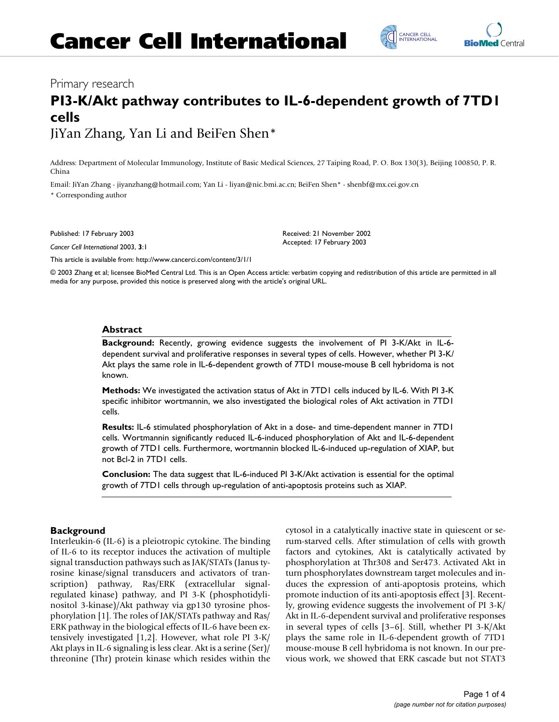## Primary research

# **PI3-K/Akt pathway contributes to IL-6-dependent growth of 7TD1 cells** JiYan Zhang, Yan Li and BeiFen Shen\*

Address: Department of Molecular Immunology, Institute of Basic Medical Sciences, 27 Taiping Road, P. O. Box 130(3), Beijing 100850, P. R. China

Email: JiYan Zhang - jiyanzhang@hotmail.com; Yan Li - liyan@nic.bmi.ac.cn; BeiFen Shen\* - shenbf@mx.cei.gov.cn \* Corresponding author

Published: 17 February 2003

*Cancer Cell International* 2003, **3**:1

[This article is available from: http://www.cancerci.com/content/3/1/1](http://www.cancerci.com/content/3/1/1)

© 2003 Zhang et al; licensee BioMed Central Ltd. This is an Open Access article: verbatim copying and redistribution of this article are permitted in all media for any purpose, provided this notice is preserved along with the article's original URL.

Received: 21 November 2002 Accepted: 17 February 2003

## **Abstract**

**Background:** Recently, growing evidence suggests the involvement of PI 3-K/Akt in IL-6 dependent survival and proliferative responses in several types of cells. However, whether PI 3-K/ Akt plays the same role in IL-6-dependent growth of 7TD1 mouse-mouse B cell hybridoma is not known.

**Methods:** We investigated the activation status of Akt in 7TD1 cells induced by IL-6. With PI 3-K specific inhibitor wortmannin, we also investigated the biological roles of Akt activation in 7TD1 cells.

**Results:** IL-6 stimulated phosphorylation of Akt in a dose- and time-dependent manner in 7TD1 cells. Wortmannin significantly reduced IL-6-induced phosphorylation of Akt and IL-6-dependent growth of 7TD1 cells. Furthermore, wortmannin blocked IL-6-induced up-regulation of XIAP, but not Bcl-2 in 7TD1 cells.

**Conclusion:** The data suggest that IL-6-induced PI 3-K/Akt activation is essential for the optimal growth of 7TD1 cells through up-regulation of anti-apoptosis proteins such as XIAP.

## **Background**

Interleukin-6 (IL-6) is a pleiotropic cytokine. The binding of IL-6 to its receptor induces the activation of multiple signal transduction pathways such as JAK/STATs (Janus tyrosine kinase/signal transducers and activators of transcription) pathway, Ras/ERK (extracellular signalregulated kinase) pathway, and PI 3-K (phosphotidylinositol 3-kinase)/Akt pathway via gp130 tyrosine phosphorylation [1]. The roles of JAK/STATs pathway and Ras/ ERK pathway in the biological effects of IL-6 have been extensively investigated [1,2]. However, what role PI 3-K/ Akt plays in IL-6 signaling is less clear. Akt is a serine (Ser)/ threonine (Thr) protein kinase which resides within the cytosol in a catalytically inactive state in quiescent or serum-starved cells. After stimulation of cells with growth factors and cytokines, Akt is catalytically activated by phosphorylation at Thr308 and Ser473. Activated Akt in turn phosphorylates downstream target molecules and induces the expression of anti-apoptosis proteins, which promote induction of its anti-apoptosis effect [3]. Recently, growing evidence suggests the involvement of PI 3-K/ Akt in IL-6-dependent survival and proliferative responses in several types of cells [3–6]. Still, whether PI 3-K/Akt plays the same role in IL-6-dependent growth of 7TD1 mouse-mouse B cell hybridoma is not known. In our previous work, we showed that ERK cascade but not STAT3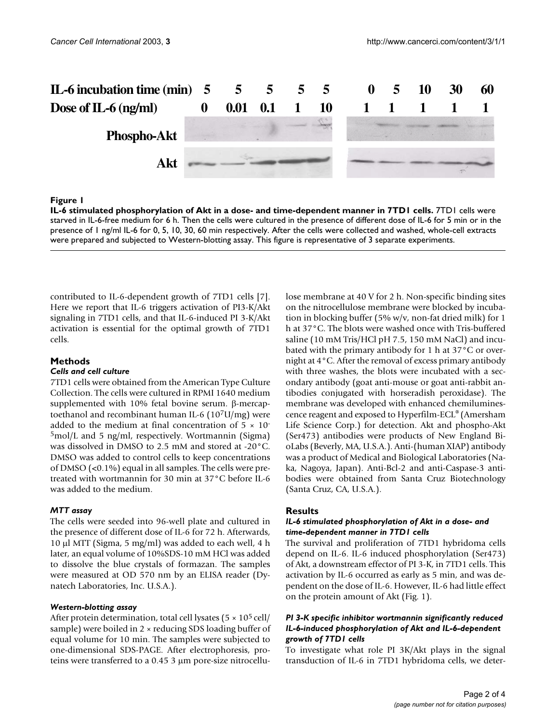

### **Figure 1**

**IL-6 stimulated phosphorylation of Akt in a dose- and time-dependent manner in 7TD1 cells.** *7TD1* cells were starved in IL-6-free medium for 6 h. Then the cells were cultured in the presence of different dose of IL-6 for 5 min or in the presence of 1 ng/ml IL-6 for 0, 5, 10, 30, 60 min respectively. After the cells were collected and washed, whole-cell extracts were prepared and subjected to Western-blotting assay. This figure is representative of 3 separate experiments.

contributed to IL-6-dependent growth of 7TD1 cells [7]. Here we report that IL-6 triggers activation of PI3-K/Akt signaling in 7TD1 cells, and that IL-6-induced PI 3-K/Akt activation is essential for the optimal growth of 7TD1 cells.

## **Methods**

## *Cells and cell culture*

7TD1 cells were obtained from the American Type Culture Collection. The cells were cultured in RPMI 1640 medium supplemented with 10% fetal bovine serum. β-mercaptoethanol and recombinant human IL-6 (107U/mg) were added to the medium at final concentration of  $5 \times 10^{-7}$ 5mol/L and 5 ng/ml, respectively. Wortmannin (Sigma) was dissolved in DMSO to 2.5 mM and stored at -20°C. DMSO was added to control cells to keep concentrations of DMSO (<0.1%) equal in all samples. The cells were pretreated with wortmannin for 30 min at 37°C before IL-6 was added to the medium.

### *MTT assay*

The cells were seeded into 96-well plate and cultured in the presence of different dose of IL-6 for 72 h. Afterwards, 10 µl MTT (Sigma, 5 mg/ml) was added to each well, 4 h later, an equal volume of 10%SDS-10 mM HCl was added to dissolve the blue crystals of formazan. The samples were measured at OD 570 nm by an ELISA reader (Dynatech Laboratories, Inc. U.S.A.).

#### *Western-blotting assay*

After protein determination, total cell lysates ( $5 \times 10^5$  cell/ sample) were boiled in 2  $\times$  reducing SDS loading buffer of equal volume for 10 min. The samples were subjected to one-dimensional SDS-PAGE. After electrophoresis, proteins were transferred to a 0.45 3 µm pore-size nitrocellulose membrane at 40 V for 2 h. Non-specific binding sites on the nitrocellulose membrane were blocked by incubation in blocking buffer (5% w/v, non-fat dried milk) for 1 h at 37°C. The blots were washed once with Tris-buffered saline (10 mM Tris/HCl pH 7.5, 150 mM NaCl) and incubated with the primary antibody for 1 h at 37°C or overnight at 4°C. After the removal of excess primary antibody with three washes, the blots were incubated with a secondary antibody (goat anti-mouse or goat anti-rabbit antibodies conjugated with horseradish peroxidase). The membrane was developed with enhanced chemiluminescence reagent and exposed to Hyperfilm-ECL® (Amersham Life Science Corp.) for detection. Akt and phospho-Akt (Ser473) antibodies were products of New England BioLabs (Beverly, MA, U.S.A.). Anti-(human XIAP) antibody was a product of Medical and Biological Laboratories (Naka, Nagoya, Japan). Anti-Bcl-2 and anti-Caspase-3 antibodies were obtained from Santa Cruz Biotechnology (Santa Cruz, CA, U.S.A.).

## **Results**

### *IL-6 stimulated phosphorylation of Akt in a dose- and time-dependent manner in 7TD1 cells*

The survival and proliferation of 7TD1 hybridoma cells depend on IL-6. IL-6 induced phosphorylation (Ser473) of Akt, a downstream effector of PI 3-K, in 7TD1 cells. This activation by IL-6 occurred as early as 5 min, and was dependent on the dose of IL-6. However, IL-6 had little effect on the protein amount of Akt (Fig. 1).

## *PI 3-K specific inhibitor wortmannin significantly reduced IL-6-induced phosphorylation of Akt and IL-6-dependent growth of 7TD1 cells*

To investigate what role PI 3K/Akt plays in the signal transduction of IL-6 in 7TD1 hybridoma cells, we deter-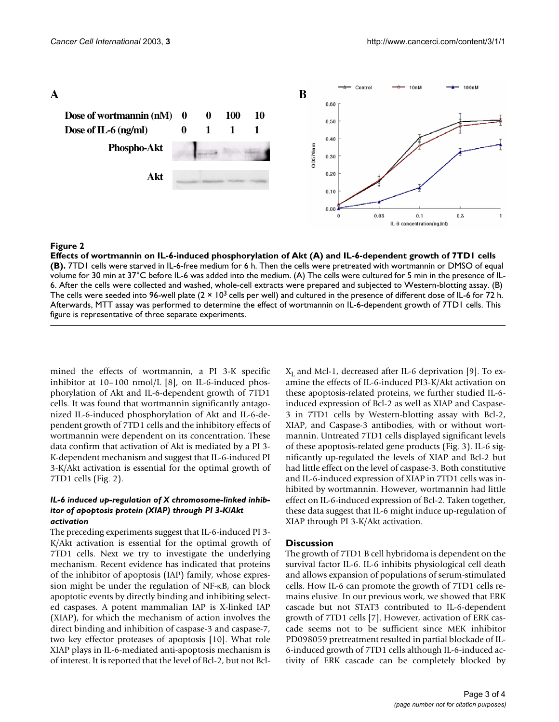

## **Figure 2**

**Effects of wortmannin on IL-6-induced phosphorylation of Akt (A) and IL-6-dependent growth of 7TD1 cells (B).** 7TD1 cells were starved in IL-6-free medium for 6 h. Then the cells were pretreated with wortmannin or DMSO of equal volume for 30 min at 37°C before IL-6 was added into the medium. (A) The cells were cultured for 5 min in the presence of IL-6. After the cells were collected and washed, whole-cell extracts were prepared and subjected to Western-blotting assay. (B) The cells were seeded into 96-well plate  $(2 \times 10^3$  cells per well) and cultured in the presence of different dose of IL-6 for 72 h. Afterwards, MTT assay was performed to determine the effect of wortmannin on IL-6-dependent growth of 7TD1 cells. This figure is representative of three separate experiments.

mined the effects of wortmannin, a PI 3-K specific inhibitor at 10–100 nmol/L [8], on IL-6-induced phosphorylation of Akt and IL-6-dependent growth of 7TD1 cells. It was found that wortmannin significantly antagonized IL-6-induced phosphorylation of Akt and IL-6-dependent growth of 7TD1 cells and the inhibitory effects of wortmannin were dependent on its concentration. These data confirm that activation of Akt is mediated by a PI 3- K-dependent mechanism and suggest that IL-6-induced PI 3-K/Akt activation is essential for the optimal growth of 7TD1 cells (Fig. 2).

## *IL-6 induced up-regulation of X chromosome-linked inhibitor of apoptosis protein (XIAP) through PI 3-K/Akt activation*

The preceding experiments suggest that IL-6-induced PI 3- K/Akt activation is essential for the optimal growth of 7TD1 cells. Next we try to investigate the underlying mechanism. Recent evidence has indicated that proteins of the inhibitor of apoptosis (IAP) family, whose expression might be under the regulation of NF-κB, can block apoptotic events by directly binding and inhibiting selected caspases. A potent mammalian IAP is X-linked IAP (XIAP), for which the mechanism of action involves the direct binding and inhibition of caspase-3 and caspase-7, two key effector proteases of apoptosis [10]. What role XIAP plays in IL-6-mediated anti-apoptosis mechanism is of interest. It is reported that the level of Bcl-2, but not Bcl $X_L$  and Mcl-1, decreased after IL-6 deprivation [9]. To examine the effects of IL-6-induced PI3-K/Akt activation on these apoptosis-related proteins, we further studied IL-6 induced expression of Bcl-2 as well as XIAP and Caspase-3 in 7TD1 cells by Western-blotting assay with Bcl-2, XIAP, and Caspase-3 antibodies, with or without wortmannin. Untreated 7TD1 cells displayed significant levels of these apoptosis-related gene products (Fig. [3](#page-3-0)). IL-6 significantly up-regulated the levels of XIAP and Bcl-2 but had little effect on the level of caspase-3. Both constitutive and IL-6-induced expression of XIAP in 7TD1 cells was inhibited by wortmannin. However, wortmannin had little effect on IL-6-induced expression of Bcl-2. Taken together, these data suggest that IL-6 might induce up-regulation of XIAP through PI 3-K/Akt activation.

## **Discussion**

The growth of 7TD1 B cell hybridoma is dependent on the survival factor IL-6. IL-6 inhibits physiological cell death and allows expansion of populations of serum-stimulated cells. How IL-6 can promote the growth of 7TD1 cells remains elusive. In our previous work, we showed that ERK cascade but not STAT3 contributed to IL-6-dependent growth of 7TD1 cells [7]. However, activation of ERK cascade seems not to be sufficient since MEK inhibitor PD098059 pretreatment resulted in partial blockade of IL-6-induced growth of 7TD1 cells although IL-6-induced activity of ERK cascade can be completely blocked by